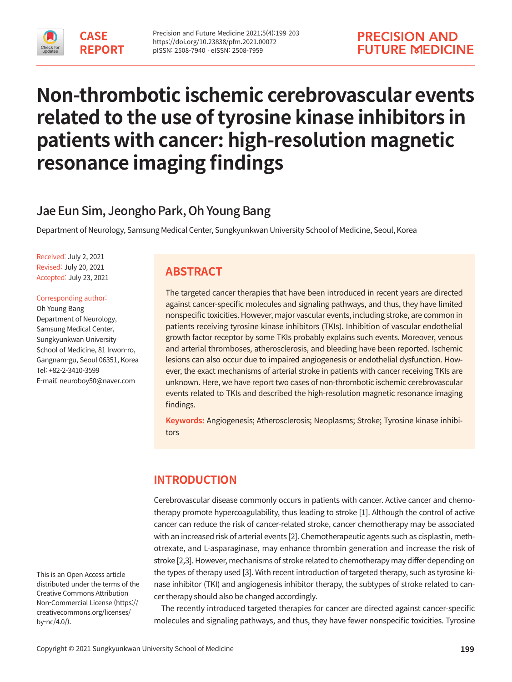

# **Non-thrombotic ischemic cerebrovascular events related to the use of tyrosine kinase inhibitors in patients with cancer: high-resolution magnetic resonance imaging findings**

# Jae Eun Sim, Jeongho Park, Oh Young Bang

Department of Neurology, Samsung Medical Center, Sungkyunkwan University School of Medicine, Seoul, Korea

Received: July 2, 2021 Revised: July 20, 2021 Accepted: July 23, 2021

#### Corresponding author:

Oh Young Bang Department of Neurology, Samsung Medical Center, Sungkyunkwan University School of Medicine, 81 Irwon-ro, Gangnam-gu, Seoul 06351, Korea Tel: +82-2-3410-3599 E-mail: neuroboy50@naver.com

This is an Open Access article distributed under the terms of the Creative Commons Attribution Non-Commercial License (https:// creativecommons.org/licenses/ by-nc/4.0/).

## **ABSTRACT**

The targeted cancer therapies that have been introduced in recent years are directed against cancer-specific molecules and signaling pathways, and thus, they have limited nonspecific toxicities. However, major vascular events, including stroke, are common in patients receiving tyrosine kinase inhibitors (TKIs). Inhibition of vascular endothelial growth factor receptor by some TKIs probably explains such events. Moreover, venous and arterial thromboses, atherosclerosis, and bleeding have been reported. Ischemic lesions can also occur due to impaired angiogenesis or endothelial dysfunction. However, the exact mechanisms of arterial stroke in patients with cancer receiving TKIs are unknown. Here, we have report two cases of non-thrombotic ischemic cerebrovascular events related to TKIs and described the high-resolution magnetic resonance imaging findings.

**Keywords:** Angiogenesis; Atherosclerosis; Neoplasms; Stroke; Tyrosine kinase inhibitors

## **INTRODUCTION**

Cerebrovascular disease commonly occurs in patients with cancer. Active cancer and chemotherapy promote hypercoagulability, thus leading to stroke [1]. Although the control of active cancer can reduce the risk of cancer-related stroke, cancer chemotherapy may be associated with an increased risk of arterial events [2]. Chemotherapeutic agents such as cisplastin, methotrexate, and L-asparaginase, may enhance thrombin generation and increase the risk of stroke [2,3]. However, mechanisms of stroke related to chemotherapy may differ depending on the types of therapy used [3]. With recent introduction of targeted therapy, such as tyrosine kinase inhibitor (TKI) and angiogenesis inhibitor therapy, the subtypes of stroke related to cancer therapy should also be changed accordingly.

The recently introduced targeted therapies for cancer are directed against cancer-specific molecules and signaling pathways, and thus, they have fewer nonspecific toxicities. Tyrosine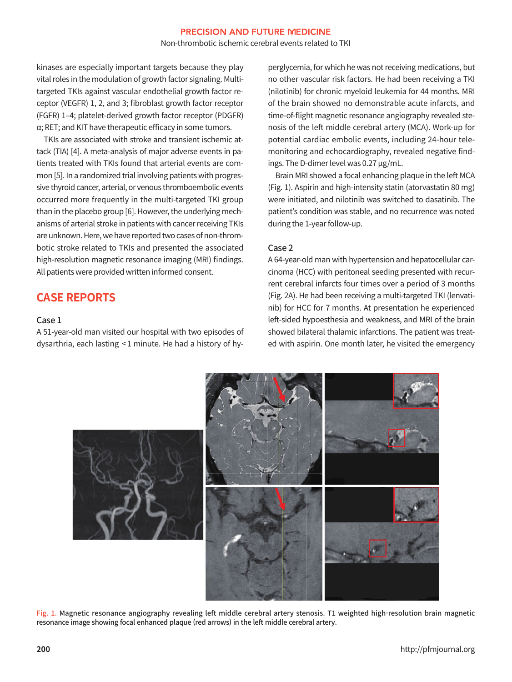#### **PRECISION AND FUTURE MEDICINE** Non-thrombotic ischemic cerebral events related to TKI

kinases are especially important targets because they play vital roles in the modulation of growth factor signaling. Multitargeted TKIs against vascular endothelial growth factor receptor (VEGFR) 1, 2, and 3; fibroblast growth factor receptor (FGFR) 1–4; platelet-derived growth factor receptor (PDGFR) α; RET; and KIT have therapeutic efficacy in some tumors.

TKIs are associated with stroke and transient ischemic attack (TIA) [4]. A meta-analysis of major adverse events in patients treated with TKIs found that arterial events are common [5]. In a randomized trial involving patients with progressive thyroid cancer, arterial, or venous thromboembolic events occurred more frequently in the multi-targeted TKI group than in the placebo group [6]. However, the underlying mechanisms of arterial stroke in patients with cancer receiving TKIs are unknown. Here, we have reported two cases of non-thrombotic stroke related to TKIs and presented the associated high-resolution magnetic resonance imaging (MRI) findings. All patients were provided written informed consent.

## **CASE REPORTS**

#### Case 1

A 51-year-old man visited our hospital with two episodes of dysarthria, each lasting < 1 minute. He had a history of hyperglycemia, for which he was not receiving medications, but no other vascular risk factors. He had been receiving a TKI (nilotinib) for chronic myeloid leukemia for 44 months. MRI of the brain showed no demonstrable acute infarcts, and time-of-flight magnetic resonance angiography revealed stenosis of the left middle cerebral artery (MCA). Work-up for potential cardiac embolic events, including 24-hour telemonitoring and echocardiography, revealed negative findings. The D-dimer level was 0.27 μg/mL.

Brain MRI showed a focal enhancing plaque in the left MCA (Fig. 1). Aspirin and high-intensity statin (atorvastatin 80 mg) were initiated, and nilotinib was switched to dasatinib. The patient's condition was stable, and no recurrence was noted during the 1-year follow-up.

#### Case 2

A 64-year-old man with hypertension and hepatocellular carcinoma (HCC) with peritoneal seeding presented with recurrent cerebral infarcts four times over a period of 3 months (Fig. 2A). He had been receiving a multi-targeted TKI (lenvatinib) for HCC for 7 months. At presentation he experienced left-sided hypoesthesia and weakness, and MRI of the brain showed bilateral thalamic infarctions. The patient was treated with aspirin. One month later, he visited the emergency



Fig. 1. Magnetic resonance angiography revealing left middle cerebral artery stenosis. T1 weighted high-resolution brain magnetic resonance image showing focal enhanced plaque (red arrows) in the left middle cerebral artery.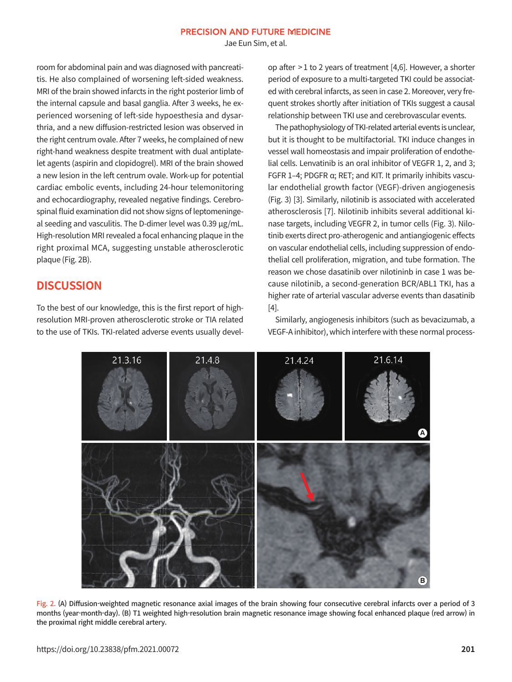Jae Eun Sim, et al.

room for abdominal pain and was diagnosed with pancreatitis. He also complained of worsening left-sided weakness. MRI of the brain showed infarcts in the right posterior limb of the internal capsule and basal ganglia. After 3 weeks, he experienced worsening of left-side hypoesthesia and dysarthria, and a new diffusion-restricted lesion was observed in the right centrum ovale. After 7 weeks, he complained of new right-hand weakness despite treatment with dual antiplatelet agents (aspirin and clopidogrel). MRI of the brain showed a new lesion in the left centrum ovale. Work-up for potential cardiac embolic events, including 24-hour telemonitoring and echocardiography, revealed negative findings. Cerebrospinal fluid examination did not show signs of leptomeningeal seeding and vasculitis. The D-dimer level was 0.39 μg/mL. High-resolution MRI revealed a focal enhancing plaque in the right proximal MCA, suggesting unstable atherosclerotic plaque (Fig. 2B).

## **DISCUSSION**

To the best of our knowledge, this is the first report of highresolution MRI-proven atherosclerotic stroke or TIA related to the use of TKIs. TKI-related adverse events usually develop after > 1 to 2 years of treatment [4,6]. However, a shorter period of exposure to a multi-targeted TKI could be associated with cerebral infarcts, as seen in case 2. Moreover, very frequent strokes shortly after initiation of TKIs suggest a causal relationship between TKI use and cerebrovascular events.

The pathophysiology of TKI-related arterial events is unclear, but it is thought to be multifactorial. TKI induce changes in vessel wall homeostasis and impair proliferation of endothelial cells. Lenvatinib is an oral inhibitor of VEGFR 1, 2, and 3; FGFR 1–4; PDGFR α; RET; and KIT. It primarily inhibits vascular endothelial growth factor (VEGF)-driven angiogenesis (Fig. 3) [3]. Similarly, nilotinib is associated with accelerated atherosclerosis [7]. Nilotinib inhibits several additional kinase targets, including VEGFR 2, in tumor cells (Fig. 3). Nilotinib exerts direct pro-atherogenic and antiangiogenic effects on vascular endothelial cells, including suppression of endothelial cell proliferation, migration, and tube formation. The reason we chose dasatinib over nilotininb in case 1 was because nilotinib, a second-generation BCR/ABL1 TKI, has a higher rate of arterial vascular adverse events than dasatinib [4].

Similarly, angiogenesis inhibitors (such as bevacizumab, a VEGF-A inhibitor), which interfere with these normal process-



Fig. 2. (A) Diffusion-weighted magnetic resonance axial images of the brain showing four consecutive cerebral infarcts over a period of 3 months (year-month-day). (B) T1 weighted high-resolution brain magnetic resonance image showing focal enhanced plaque (red arrow) in the proximal right middle cerebral artery.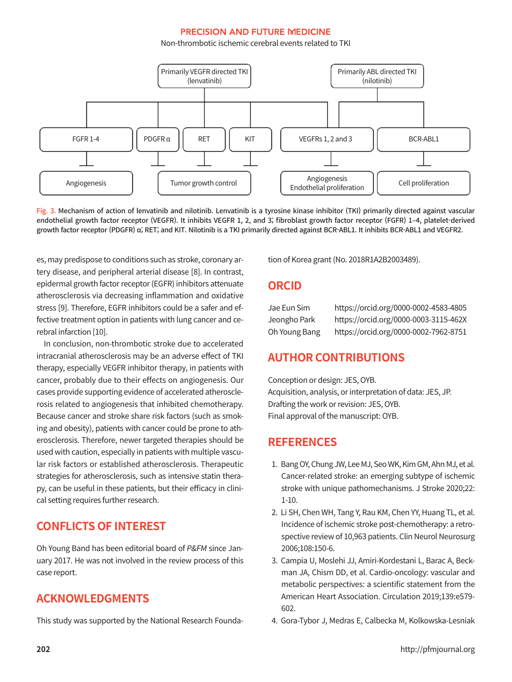#### PRECISION AND FUTURE MEDICINE

#### Non-thrombotic ischemic cerebral events related to TKI



Fig. 3. Mechanism of action of lenvatinib and nilotinib. Lenvatinib is a tyrosine kinase inhibitor (TKI) primarily directed against vascular endothelial growth factor receptor (VEGFR). It inhibits VEGFR 1, 2, and 3; fibroblast growth factor receptor (FGFR) 1–4, platelet-derived growth factor receptor (PDGFR) α; RET; and KIT. Nilotinib is a TKI primarily directed against BCR-ABL1. It inhibits BCR-ABL1 and VEGFR2.

es, may predispose to conditions such as stroke, coronary artery disease, and peripheral arterial disease [8]. In contrast, epidermal growth factor receptor (EGFR) inhibitors attenuate atherosclerosis via decreasing inflammation and oxidative stress [9]. Therefore, EGFR inhibitors could be a safer and effective treatment option in patients with lung cancer and cerebral infarction [10].

In conclusion, non-thrombotic stroke due to accelerated intracranial atherosclerosis may be an adverse effect of TKI therapy, especially VEGFR inhibitor therapy, in patients with cancer, probably due to their effects on angiogenesis. Our cases provide supporting evidence of accelerated atherosclerosis related to angiogenesis that inhibited chemotherapy. Because cancer and stroke share risk factors (such as smoking and obesity), patients with cancer could be prone to atherosclerosis. Therefore, newer targeted therapies should be used with caution, especially in patients with multiple vascular risk factors or established atherosclerosis. Therapeutic strategies for atherosclerosis, such as intensive statin therapy, can be useful in these patients, but their efficacy in clinical setting requires further research.

## **CONFLICTS OF INTEREST**

Oh Young Band has been editorial board of P&FM since January 2017. He was not involved in the review process of this case report.

## **ACKNOWLEDGMENTS**

This study was supported by the National Research Founda-

tion of Korea grant (No. 2018R1A2B2003489).

#### **ORCID**

Jae Eun Sim https://orcid.org/0000-0002-4583-4805 Jeongho Park https://orcid.org/0000-0003-3115-462X Oh Young Bang https://orcid.org/0000-0002-7962-8751

## **AUTHOR CONTRIBUTIONS**

Conception or design: JES, OYB. Acquisition, analysis, or interpretation of data: JES, JP. Drafting the work or revision: JES, OYB. Final approval of the manuscript: OYB.

## **REFERENCES**

- 1. Bang OY, Chung JW, Lee MJ, Seo WK, Kim GM, Ahn MJ, et al. Cancer-related stroke: an emerging subtype of ischemic stroke with unique pathomechanisms. J Stroke 2020;22: 1-10.
- 2. Li SH, Chen WH, Tang Y, Rau KM, Chen YY, Huang TL, et al. Incidence of ischemic stroke post-chemotherapy: a retrospective review of 10,963 patients. Clin Neurol Neurosurg 2006;108:150-6.
- 3. Campia U, Moslehi JJ, Amiri-Kordestani L, Barac A, Beckman JA, Chism DD, et al. Cardio-oncology: vascular and metabolic perspectives: a scientific statement from the American Heart Association. Circulation 2019;139:e579- 602.
- 4. Gora-Tybor J, Medras E, Calbecka M, Kolkowska-Lesniak